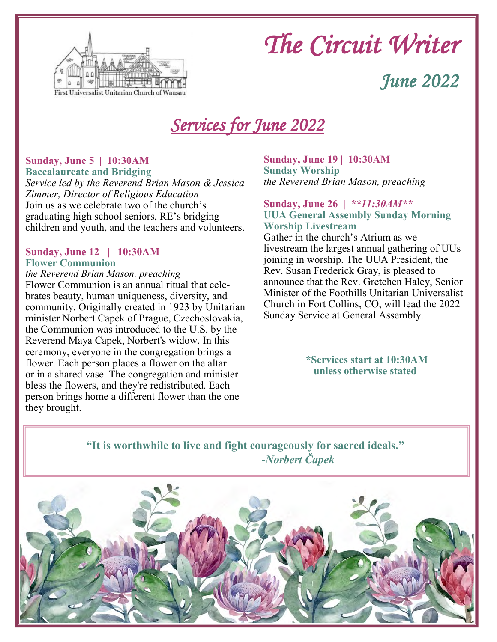

# *The Circuit Writer*

## *June 2022*

## *Services for June 2022*

#### **Sunday, June 5 | 10:30AM**

Ī

**Baccalaureate and Bridging** *Service led by the Reverend Brian Mason & Jessica Zimmer, Director of Religious Education* Join us as we celebrate two of the church's graduating high school seniors, RE's bridging children and youth, and the teachers and volunteers.

#### **Sunday, June 12 | 10:30AM Flower Communion**

## *the Reverend Brian Mason, preaching*

Flower Communion is an annual ritual that celebrates beauty, human uniqueness, diversity, and community. Originally created in 1923 by Unitarian minister Norbert Capek of Prague, Czechoslovakia, the Communion was introduced to the U.S. by the Reverend Maya Capek, Norbert's widow. In this ceremony, everyone in the congregation brings a flower. Each person places a flower on the altar or in a shared vase. The congregation and minister bless the flowers, and they're redistributed. Each person brings home a different flower than the one they brought.

#### **Sunday, June 19 | 10:30AM Sunday Worship** *the Reverend Brian Mason, preaching*

#### **Sunday, June 26 |** *\*\*11:30AM\*\** **UUA General Assembly Sunday Morning Worship Livestream**

Gather in the church's Atrium as we livestream the largest annual gathering of UUs joining in worship. The UUA President, the Rev. Susan Frederick Gray, is pleased to announce that the Rev. Gretchen Haley, Senior Minister of the Foothills Unitarian Universalist Church in Fort Collins, CO, will lead the 2022 Sunday Service at General Assembly.

#### **\*Services start at 10:30AM unless otherwise stated**

### **"It is worthwhile to live and fight courageously for sacred ideals."** *-Norbert Čapek*

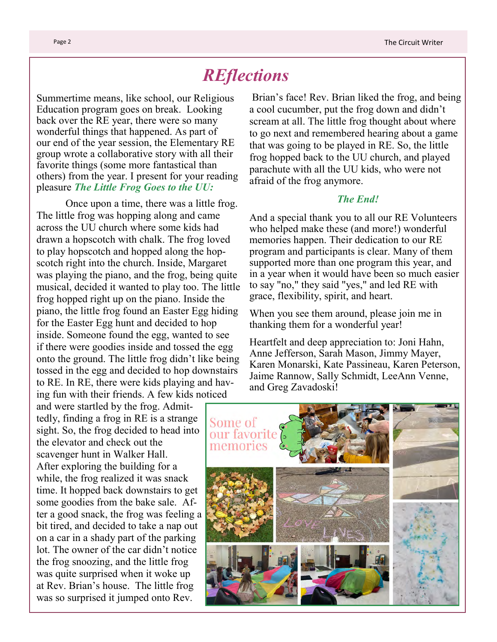## *REflections*

Summertime means, like school, our Religious Education program goes on break. Looking back over the RE year, there were so many wonderful things that happened. As part of our end of the year session, the Elementary RE group wrote a collaborative story with all their favorite things (some more fantastical than others) from the year. I present for your reading pleasure *The Little Frog Goes to the UU:*

Once upon a time, there was a little frog. The little frog was hopping along and came across the UU church where some kids had drawn a hopscotch with chalk. The frog loved to play hopscotch and hopped along the hopscotch right into the church. Inside, Margaret was playing the piano, and the frog, being quite musical, decided it wanted to play too. The little frog hopped right up on the piano. Inside the piano, the little frog found an Easter Egg hiding for the Easter Egg hunt and decided to hop inside. Someone found the egg, wanted to see if there were goodies inside and tossed the egg onto the ground. The little frog didn't like being tossed in the egg and decided to hop downstairs to RE. In RE, there were kids playing and having fun with their friends. A few kids noticed

and were startled by the frog. Admittedly, finding a frog in RE is a strange sight. So, the frog decided to head into the elevator and check out the scavenger hunt in Walker Hall. After exploring the building for a while, the frog realized it was snack time. It hopped back downstairs to get some goodies from the bake sale. After a good snack, the frog was feeling a bit tired, and decided to take a nap out on a car in a shady part of the parking lot. The owner of the car didn't notice the frog snoozing, and the little frog was quite surprised when it woke up at Rev. Brian's house. The little frog was so surprised it jumped onto Rev.

Brian's face! Rev. Brian liked the frog, and being a cool cucumber, put the frog down and didn't scream at all. The little frog thought about where to go next and remembered hearing about a game that was going to be played in RE. So, the little frog hopped back to the UU church, and played parachute with all the UU kids, who were not afraid of the frog anymore.

#### *The End!*

And a special thank you to all our RE Volunteers who helped make these (and more!) wonderful memories happen. Their dedication to our RE program and participants is clear. Many of them supported more than one program this year, and in a year when it would have been so much easier to say "no," they said "yes," and led RE with grace, flexibility, spirit, and heart.

When you see them around, please join me in thanking them for a wonderful year!

Heartfelt and deep appreciation to: Joni Hahn, Anne Jefferson, Sarah Mason, Jimmy Mayer, Karen Monarski, Kate Passineau, Karen Peterson, Jaime Rannow, Sally Schmidt, LeeAnn Venne, and Greg Zavadoski!

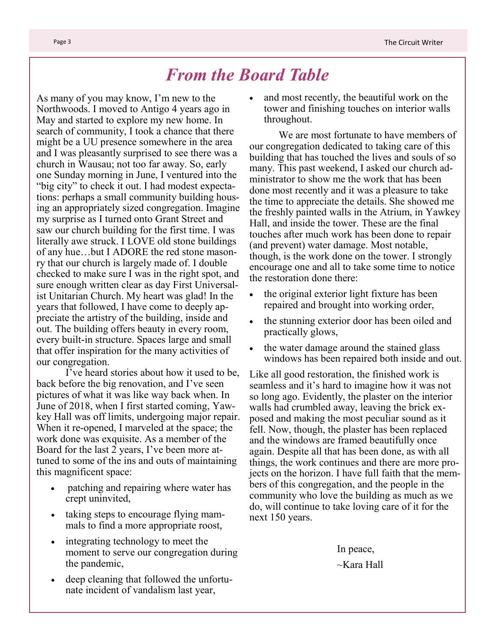## *From the Board Table*

As many of you may know, I'm new to the Northwoods. I moved to Antigo 4 years ago in May and started to explore my new home. In search of community, I took a chance that there might be a UU presence somewhere in the area and I was pleasantly surprised to see there was a church in Wausau; not too far away. So, early one Sunday morning in June, I ventured into the "big city" to check it out. I had modest expectations: perhaps a small community building housing an appropriately sized congregation. Imagine my surprise as I turned onto Grant Street and saw our church building for the first time. I was literally awe struck. I LOVE old stone buildings of any hue…but I ADORE the red stone masonry that our church is largely made of. I double checked to make sure I was in the right spot, and sure enough written clear as day First Universalist Unitarian Church. My heart was glad! In the years that followed, I have come to deeply appreciate the artistry of the building, inside and out. The building offers beauty in every room, every built-in structure. Spaces large and small that offer inspiration for the many activities of our congregation.

I've heard stories about how it used to be, back before the big renovation, and I've seen pictures of what it was like way back when. In June of 2018, when I first started coming, Yawkey Hall was off limits, undergoing major repair. When it re-opened, I marveled at the space; the work done was exquisite. As a member of the Board for the last 2 years, I've been more attuned to some of the ins and outs of maintaining this magnificent space:

- patching and repairing where water has crept uninvited,
- taking steps to encourage flying mammals to find a more appropriate roost,
- integrating technology to meet the moment to serve our congregation during the pandemic,
- deep cleaning that followed the unfortunate incident of vandalism last year,

and most recently, the beautiful work on the tower and finishing touches on interior walls throughout.

We are most fortunate to have members of our congregation dedicated to taking care of this building that has touched the lives and souls of so many. This past weekend, I asked our church administrator to show me the work that has been done most recently and it was a pleasure to take the time to appreciate the details. She showed me the freshly painted walls in the Atrium, in Yawkey Hall, and inside the tower. These are the final touches after much work has been done to repair (and prevent) water damage. Most notable, though, is the work done on the tower. I strongly encourage one and all to take some time to notice the restoration done there:

- the original exterior light fixture has been repaired and brought into working order,
- the stunning exterior door has been oiled and practically glows,
- the water damage around the stained glass windows has been repaired both inside and out.

Like all good restoration, the finished work is seamless and it's hard to imagine how it was not so long ago. Evidently, the plaster on the interior walls had crumbled away, leaving the brick exposed and making the most peculiar sound as it fell. Now, though, the plaster has been replaced and the windows are framed beautifully once again. Despite all that has been done, as with all things, the work continues and there are more projects on the horizon. I have full faith that the members of this congregation, and the people in the community who love the building as much as we do, will continue to take loving care of it for the next 150 years.

> In peace,  $\sim$ Kara Hall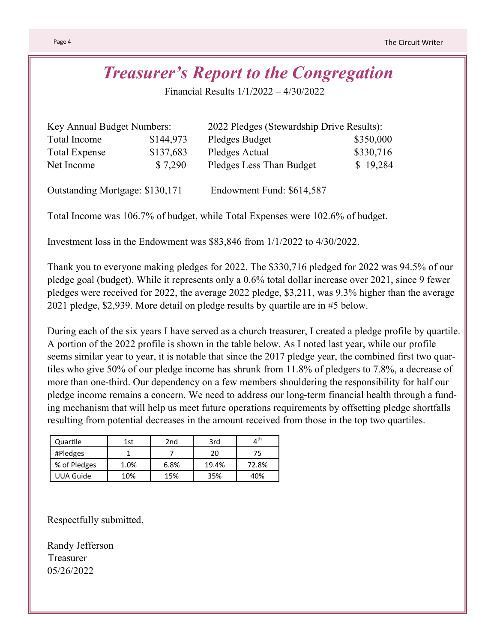## *Treasurer's Report to the Congregation*

Financial Results 1/1/2022 – 4/30/2022

| Key Annual Budget Numbers: |           | 2022 Pledges (Stewardship Drive Results): |           |  |  |
|----------------------------|-----------|-------------------------------------------|-----------|--|--|
| Total Income               | \$144,973 | Pledges Budget                            | \$350,000 |  |  |
| <b>Total Expense</b>       | \$137,683 | Pledges Actual                            | \$330,716 |  |  |
| Net Income                 | \$7,290   | Pledges Less Than Budget                  | \$19,284  |  |  |
|                            |           |                                           |           |  |  |

Outstanding Mortgage: \$130,171 Endowment Fund: \$614,587

Total Income was 106.7% of budget, while Total Expenses were 102.6% of budget.

Investment loss in the Endowment was \$83,846 from 1/1/2022 to 4/30/2022.

Thank you to everyone making pledges for 2022. The \$330,716 pledged for 2022 was 94.5% of our pledge goal (budget). While it represents only a 0.6% total dollar increase over 2021, since 9 fewer pledges were received for 2022, the average 2022 pledge, \$3,211, was 9.3% higher than the average 2021 pledge, \$2,939. More detail on pledge results by quartile are in #5 below.

During each of the six years I have served as a church treasurer, I created a pledge profile by quartile. A portion of the 2022 profile is shown in the table below. As I noted last year, while our profile seems similar year to year, it is notable that since the 2017 pledge year, the combined first two quartiles who give 50% of our pledge income has shrunk from 11.8% of pledgers to 7.8%, a decrease of more than one-third. Our dependency on a few members shouldering the responsibility for half our pledge income remains a concern. We need to address our long-term financial health through a funding mechanism that will help us meet future operations requirements by offsetting pledge shortfalls resulting from potential decreases in the amount received from those in the top two quartiles.

| Quartile     | 1st  | 2nd  | 3rd   | $\Lambda^{\text{th}}$ |
|--------------|------|------|-------|-----------------------|
| #Pledges     |      |      | 20    | 75                    |
| % of Pledges | 1.0% | 6.8% | 19.4% | 72.8%                 |
| UUA Guide    | 10%  | 15%  | 35%   | 40%                   |

Respectfully submitted,

Randy Jefferson Treasurer 05/26/2022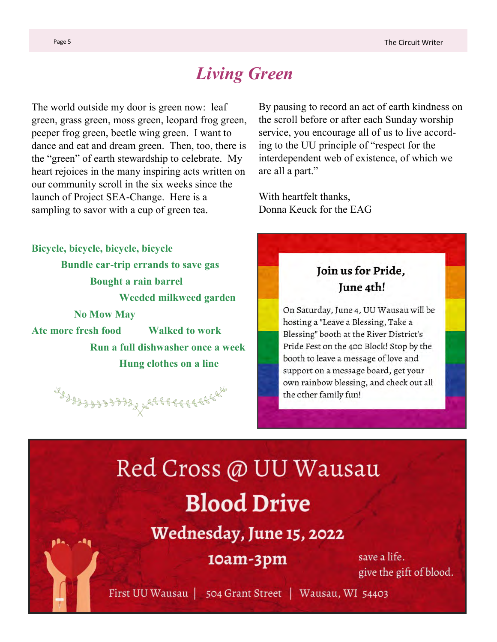## *Living Green*

The world outside my door is green now: leaf green, grass green, moss green, leopard frog green, peeper frog green, beetle wing green. I want to dance and eat and dream green. Then, too, there is the "green" of earth stewardship to celebrate. My heart rejoices in the many inspiring acts written on our community scroll in the six weeks since the launch of Project SEA-Change. Here is a sampling to savor with a cup of green tea.

**Bicycle, bicycle, bicycle, bicycle Bundle car-trip errands to save gas Bought a rain barrel Weeded milkweed garden No Mow May Ate more fresh food Walked to work Run a full dishwasher once a week Hung clothes on a line**

4999999999999996888888888888

By pausing to record an act of earth kindness on the scroll before or after each Sunday worship service, you encourage all of us to live according to the UU principle of "respect for the interdependent web of existence, of which we are all a part."

With heartfelt thanks, Donna Keuck for the EAG

### Join us for Pride, June 4th!

On Saturday, June 4, UU Wausau will be hosting a "Leave a Blessing, Take a Blessing" booth at the River District's Pride Fest on the 400 Block! Stop by the booth to leave a message of love and support on a message board, get your own rainbow blessing, and check out all the other family fun!

# Red Cross @ UU Wausau **Blood Drive**

Wednesday, June 15, 2022

## 10am-3pm

save a life. give the gift of blood.

First UU Wausau | 504 Grant Street | Wausau, WI 54403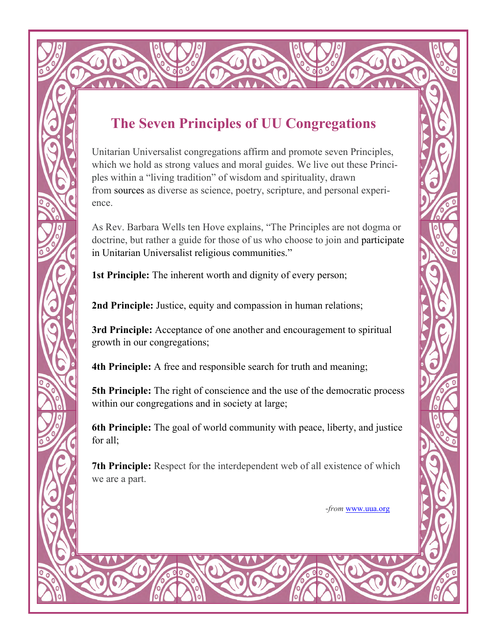## **The Seven Principles of UU Congregations**

Unitarian Universalist congregations affirm and promote seven Principles, which we hold as strong values and moral guides. We live out these Principles within a "living tradition" of wisdom and spirituality, drawn from [sources](https://www.uua.org/beliefs/what-we-believe/sources) as diverse as science, poetry, scripture, and personal experience.

As Rev. Barbara Wells ten Hove explains, "The Principles are not dogma or doctrine, but rather a guide for those of us who choose to join and participate in Unitarian Universalist religious communities."

**[1st Principle:](https://www.uua.org/beliefs/what-we-believe/principles/1st)** The inherent worth and dignity of every person;

[2nd Principle:](https://www.uua.org/beliefs/what-we-believe/principles/2nd) Justice, equity and compassion in human relations;

**[3rd Principle:](https://www.uua.org/beliefs/what-we-believe/principles/3rd)** Acceptance of one another and encouragement to spiritual growth in our congregations;

**[4th Principle:](https://www.uua.org/beliefs/what-we-believe/principles/4th)** A free and responsible search for truth and meaning;

**[5th Principle:](https://www.uua.org/beliefs/what-we-believe/principles/5th)** The right of conscience and the use of the democratic process within our congregations and in society at large;

**[6th Principle:](https://www.uua.org/beliefs/what-we-believe/principles/6th)** The goal of world community with peace, liberty, and justice for all;

**[7th Principle:](https://www.uua.org/beliefs/what-we-believe/principles/7th)** Respect for the interdependent web of all existence of which we are a part.

-*from* [www.uua.org](http://www.uua.org)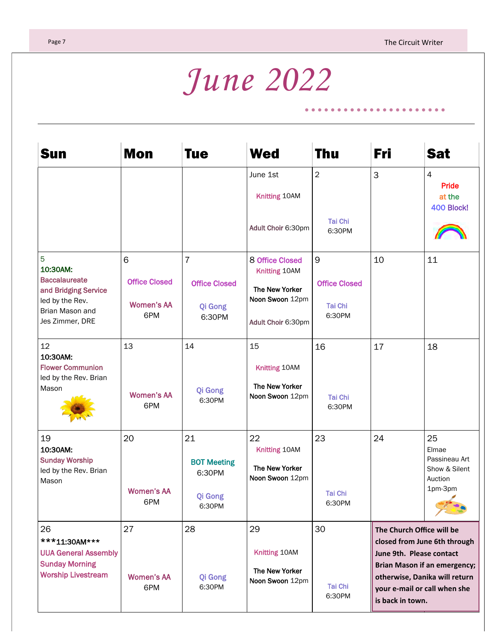. . . . . . . . . . . . . .

۰

# *June 2022*

| Sun                                                                                                                    | <b>Mon</b>                                            | <b>Tue</b>                                                  | <b>Wed</b>                                                                                  | <b>Thu</b>                                                      | Fri                                                                                                                                                                                                               | <b>Sat</b>                                                          |
|------------------------------------------------------------------------------------------------------------------------|-------------------------------------------------------|-------------------------------------------------------------|---------------------------------------------------------------------------------------------|-----------------------------------------------------------------|-------------------------------------------------------------------------------------------------------------------------------------------------------------------------------------------------------------------|---------------------------------------------------------------------|
|                                                                                                                        |                                                       |                                                             | June 1st<br>Knitting 10AM<br>Adult Choir 6:30pm                                             | $\overline{2}$<br><b>Tai Chi</b><br>6:30PM                      | 3                                                                                                                                                                                                                 | 4<br><b>Pride</b><br>at the<br>400 Block!                           |
| 5<br>10:30AM:<br><b>Baccalaureate</b><br>and Bridging Service<br>led by the Rev.<br>Brian Mason and<br>Jes Zimmer, DRE | 6<br><b>Office Closed</b><br><b>Women's AA</b><br>6PM | $\overline{7}$<br><b>Office Closed</b><br>Qi Gong<br>6:30PM | 8 Office Closed<br>Knitting 10AM<br>The New Yorker<br>Noon Swoon 12pm<br>Adult Choir 6:30pm | $\mathsf 9$<br><b>Office Closed</b><br><b>Tai Chi</b><br>6:30PM | 10                                                                                                                                                                                                                | 11                                                                  |
| 12<br>10:30AM:<br><b>Flower Communion</b><br>led by the Rev. Brian<br>Mason                                            | 13<br><b>Women's AA</b><br>6PM                        | 14<br>Qi Gong<br>6:30PM                                     | 15<br>Knitting 10AM<br>The New Yorker<br>Noon Swoon 12pm                                    | 16<br><b>Tai Chi</b><br>6:30PM                                  | 17                                                                                                                                                                                                                | 18                                                                  |
| 19<br>10:30AM:<br><b>Sunday Worship</b><br>led by the Rev. Brian<br>Mason                                              | 20<br><b>Women's AA</b><br>6PM                        | 21<br><b>BOT Meeting</b><br>6:30PM<br>Qi Gong<br>6:30PM     | 22<br>Knitting 10AM<br>The New Yorker<br>Noon Swoon 12pm                                    | 23<br><b>Tai Chi</b><br>6:30PM                                  | 24                                                                                                                                                                                                                | 25<br>Elmae<br>Passineau Art<br>Show & Silent<br>Auction<br>1pm-3pm |
| 26<br>***11:30AM***<br><b>UUA General Assembly</b><br><b>Sunday Morning</b><br><b>Worship Livestream</b>               | 27<br><b>Women's AA</b><br>6PM                        | 28<br>Qi Gong<br>6:30PM                                     | 29<br>Knitting 10AM<br>The New Yorker<br>Noon Swoon 12pm                                    | 30<br><b>Tai Chi</b><br>6:30PM                                  | The Church Office will be<br>closed from June 6th through<br>June 9th. Please contact<br><b>Brian Mason if an emergency;</b><br>otherwise, Danika will return<br>your e-mail or call when she<br>is back in town. |                                                                     |